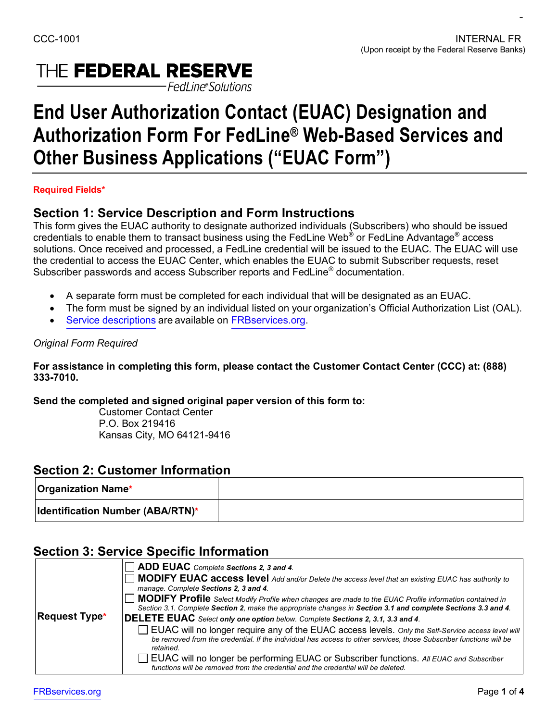$\sim$ 

# THE FEDERAL RESERVE -Fedl ine®Solutions

# **End User Authorization Contact (EUAC) Designation and Authorization Form For FedLine® Web-Based Services and Other Business Applications ("EUAC Form")**

### **Required Fields\***

### **Section 1: Service Description and Form Instructions**

This form gives the EUAC authority to designate authorized individuals (Subscribers) who should be issued credentials to enable them to transact business using the FedLine Web® or FedLine Advantage® access solutions. Once received and processed, a FedLine credential will be issued to the EUAC. The EUAC will use the credential to access the EUAC Center, which enables the EUAC to submit Subscriber requests, reset Subscriber passwords and access Subscriber reports and FedLine® documentation.

- A separate form must be completed for each individual that will be designated as an EUAC.
- The form must be signed by an individual listed on your organization's Official Authorization List (OAL).
- [Service descriptions](https://www.frbservices.org/forms/fedline-solutions/web-advantage-service-descriptions.html) are available on [FRBservices.org.](https://www.frbservices.org/)

### *Original Form Required*

 **For assistance in completing this form, please contact the Customer Contact Center (CCC) at: (888) 333-7010.**

 **Send the completed and signed original paper version of this form to:** 

 Customer Contact Center Kansas City, MO 64121-9416 P.O. Box 219416

### **Section 2: Customer Information**

| <b>Organization Name*</b>               |  |
|-----------------------------------------|--|
| <b>Identification Number (ABA/RTN)*</b> |  |

## **Section 3: Service Specific Information**

|                      | $\Box$ ADD EUAC Complete Sections 2, 3 and 4.                                                                                                                                                                                         |
|----------------------|---------------------------------------------------------------------------------------------------------------------------------------------------------------------------------------------------------------------------------------|
|                      | $\Box$ MODIFY EUAC access level Add and/or Delete the access level that an existing EUAC has authority to                                                                                                                             |
|                      | manage. Complete Sections 2, 3 and 4.                                                                                                                                                                                                 |
|                      | MODIFY Profile Select Modify Profile when changes are made to the EUAC Profile information contained in                                                                                                                               |
|                      | Section 3.1. Complete Section 2, make the appropriate changes in Section 3.1 and complete Sections 3.3 and 4.                                                                                                                         |
| <b>Request Type*</b> | DELETE EUAC Select only one option below. Complete Sections 2, 3.1, 3.3 and 4.                                                                                                                                                        |
|                      | EUAC will no longer require any of the EUAC access levels. Only the Self-Service access level will<br>be removed from the credential. If the individual has access to other services, those Subscriber functions will be<br>retained. |
|                      | EUAC will no longer be performing EUAC or Subscriber functions. All EUAC and Subscriber<br>functions will be removed from the credential and the credential will be deleted.                                                          |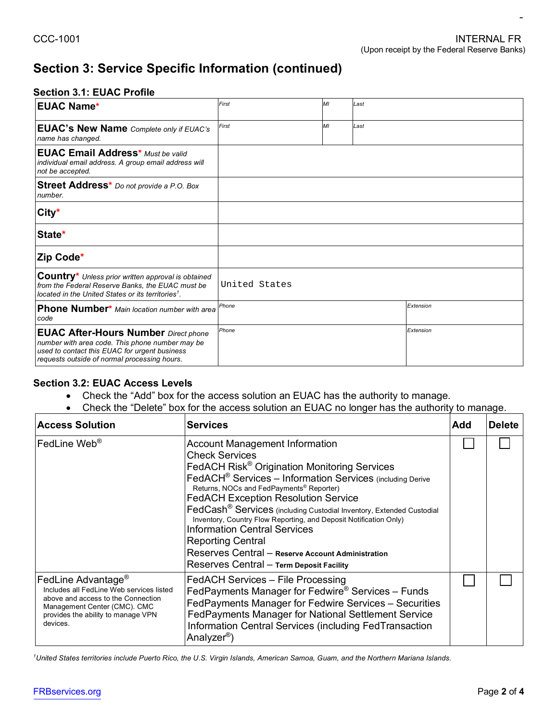# **Section 3: Service Specific Information (continued)**

#### **Section 3.1: EUAC Profile**

| <b>EUAC Name*</b>                                                                                                                                                                               | First         | M <sub>l</sub> | Last |           |
|-------------------------------------------------------------------------------------------------------------------------------------------------------------------------------------------------|---------------|----------------|------|-----------|
| <b>EUAC's New Name</b> Complete only if EUAC's<br>name has changed.                                                                                                                             | First         | MI             | Last |           |
| <b>EUAC Email Address*</b> Must be valid<br>individual email address. A group email address will<br>not be accepted.                                                                            |               |                |      |           |
| Street Address* Do not provide a P.O. Box<br>number.                                                                                                                                            |               |                |      |           |
| City*                                                                                                                                                                                           |               |                |      |           |
| State*                                                                                                                                                                                          |               |                |      |           |
| Zip Code*                                                                                                                                                                                       |               |                |      |           |
| <b>Country*</b> Unless prior written approval is obtained<br>from the Federal Reserve Banks, the EUAC must be<br>located in the United States or its territories <sup>1</sup> .                 | United States |                |      |           |
| Phone Number* Main location number with area<br>code                                                                                                                                            | Phone         |                |      | Extension |
| <b>EUAC After-Hours Number</b> Direct phone<br>number with area code. This phone number may be<br>used to contact this EUAC for urgent business<br>requests outside of normal processing hours. | Phone         |                |      | Extension |

#### **Section 3.2: EUAC Access Levels**

- Check the "Add" box for the access solution an EUAC has the authority to manage.
- Check the "Delete" box for the access solution an EUAC no longer has the authority to manage.

| <b>Access Solution</b>                                                                                                                                                                             | <b>Services</b>                                                                                                                                                                                                                                                                                                                                                                                                                                                                                                                                                                                                                        | Add | <b>Delete</b> |
|----------------------------------------------------------------------------------------------------------------------------------------------------------------------------------------------------|----------------------------------------------------------------------------------------------------------------------------------------------------------------------------------------------------------------------------------------------------------------------------------------------------------------------------------------------------------------------------------------------------------------------------------------------------------------------------------------------------------------------------------------------------------------------------------------------------------------------------------------|-----|---------------|
| $ $ FedLine Web $^\circ$                                                                                                                                                                           | <b>Account Management Information</b><br><b>Check Services</b><br>FedACH Risk <sup>®</sup> Origination Monitoring Services<br>FedACH <sup>®</sup> Services - Information Services (including Derive<br>Returns, NOCs and FedPayments <sup>®</sup> Reporter)<br><b>FedACH Exception Resolution Service</b><br>FedCash <sup>®</sup> Services (including Custodial Inventory, Extended Custodial<br>Inventory, Country Flow Reporting, and Deposit Notification Only)<br><b>Information Central Services</b><br><b>Reporting Central</b><br>Reserves Central - Reserve Account Administration<br>Reserves Central - Term Deposit Facility |     |               |
| FedLine Advantage <sup>®</sup><br>Includes all FedLine Web services listed<br>above and access to the Connection<br>Management Center (CMC). CMC<br>provides the ability to manage VPN<br>devices. | FedACH Services - File Processing<br>FedPayments Manager for Fedwire® Services - Funds<br>FedPayments Manager for Fedwire Services - Securities<br>FedPayments Manager for National Settlement Service<br>Information Central Services (including FedTransaction<br>Analyzer <sup>®</sup> )                                                                                                                                                                                                                                                                                                                                            |     |               |

<sup>1</sup>United States territories include Puerto Rico, the U.S. Virgin Islands, American Samoa, Guam, and the Northern Mariana Islands.

 $\sim$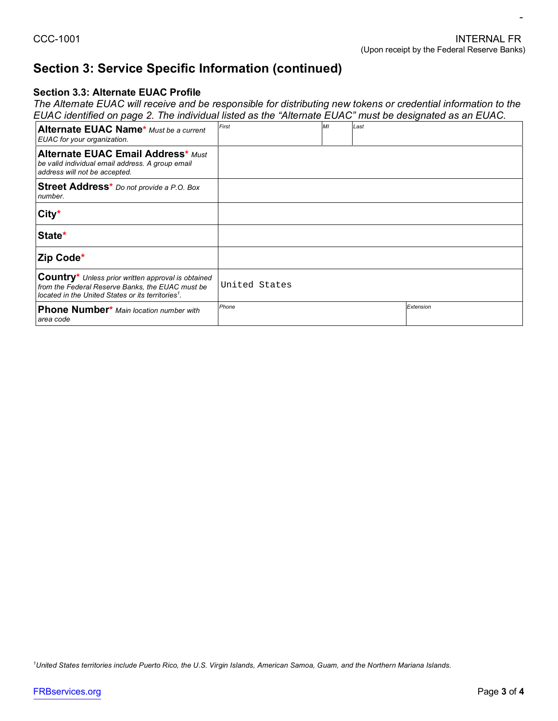# **Section 3: Service Specific Information (continued)**

### **Section 3.3: Alternate EUAC Profile**

 *The Alternate EUAC will receive and be responsible for distributing new tokens or credential information to the EUAC identified on page 2. The individual listed as the "Alternate EUAC" must be designated as an EUAC.* 

| Alternate EUAC Name* Must be a current<br>EUAC for your organization.                                                                                                            | First         | M <sub>l</sub> | Last |           |
|----------------------------------------------------------------------------------------------------------------------------------------------------------------------------------|---------------|----------------|------|-----------|
| <b>Alternate EUAC Email Address* Must</b><br>be valid individual email address. A group email<br>address will not be accepted.                                                   |               |                |      |           |
| Street Address <sup>*</sup> Do not provide a P.O. Box<br>number.                                                                                                                 |               |                |      |           |
| City*                                                                                                                                                                            |               |                |      |           |
| State*                                                                                                                                                                           |               |                |      |           |
| <b>Zip Code*</b>                                                                                                                                                                 |               |                |      |           |
| <b>Country</b> * Unless prior written approval is obtained<br>from the Federal Reserve Banks, the EUAC must be<br>located in the United States or its territories <sup>1</sup> . | United States |                |      |           |
| <b>Phone Number</b> * Main location number with<br>area code                                                                                                                     | Phone         |                |      | Extension |

<sup>1</sup>United States territories include Puerto Rico, the U.S. Virgin Islands, American Samoa, Guam, and the Northern Mariana Islands.